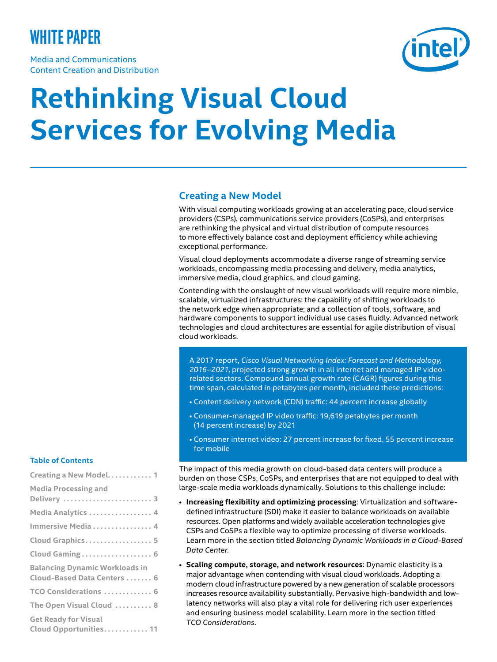# **white paper**

Media and Communications Content Creation and Distribution



# **Rethinking Visual Cloud Services for Evolving Media**

# **Creating a New Model**

With visual computing workloads growing at an accelerating pace, cloud service providers (CSPs), communications service providers (CoSPs), and enterprises are rethinking the physical and virtual distribution of compute resources to more effectively balance cost and deployment efficiency while achieving exceptional performance.

Visual cloud deployments accommodate a diverse range of streaming service workloads, encompassing media processing and delivery, media analytics, immersive media, cloud graphics, and cloud gaming.

Contending with the onslaught of new visual workloads will require more nimble, scalable, virtualized infrastructures; the capability of shifting workloads to the network edge when appropriate; and a collection of tools, software, and hardware components to support individual use cases fluidly. Advanced network technologies and cloud architectures are essential for agile distribution of visual cloud workloads.

A 2017 report, *Cisco Visual Networking Index: Forecast and Methodology, 2016–2021*, projected strong growth in all internet and managed IP videorelated sectors. Compound annual growth rate (CAGR) figures during this time span, calculated in petabytes per month, included these predictions:

- Content delivery network (CDN) traffic: 44 percent increase globally
- Consumer-managed IP video traffic: 19,619 petabytes per month (14 percent increase) by 2021
- Consumer internet video: 27 percent increase for fixed, 55 percent increase for mobile

The impact of this media growth on cloud-based data centers will produce a burden on those CSPs, CoSPs, and enterprises that are not equipped to deal with large-scale media workloads dynamically. Solutions to this challenge include:

- **Increasing flexibility and optimizing processing**: Virtualization and softwaredefined infrastructure (SDI) make it easier to balance workloads on available resources. Open platforms and widely available acceleration technologies give CSPs and CoSPs a flexible way to optimize processing of diverse workloads. Learn more in the section titled *Balancing Dynamic Workloads in a Cloud-Based Data Center*.
- **Scaling compute, storage, and network resources**: Dynamic elasticity is a major advantage when contending with visual cloud workloads. Adopting a modern cloud infrastructure powered by a new generation of scalable processors increases resource availability substantially. Pervasive high-bandwidth and lowlatency networks will also play a vital role for delivering rich user experiences and ensuring business model scalability. Learn more in the section titled *TCO Considerations*.

#### **Table of Contents**

| Creating a New Model 1                                |
|-------------------------------------------------------|
| <b>Media Processing and</b>                           |
| Delivery  3                                           |
| Media Analytics  4                                    |
| Immersive Media 4                                     |
| Cloud Graphics 5                                      |
| Cloud Gaming 6                                        |
| <b>Balancing Dynamic Workloads in</b>                 |
| Cloud-Based Data Centers  6                           |
| TCO Considerations  6                                 |
| The Open Visual Cloud  8                              |
| <b>Get Ready for Visual</b><br>Cloud Opportunities 11 |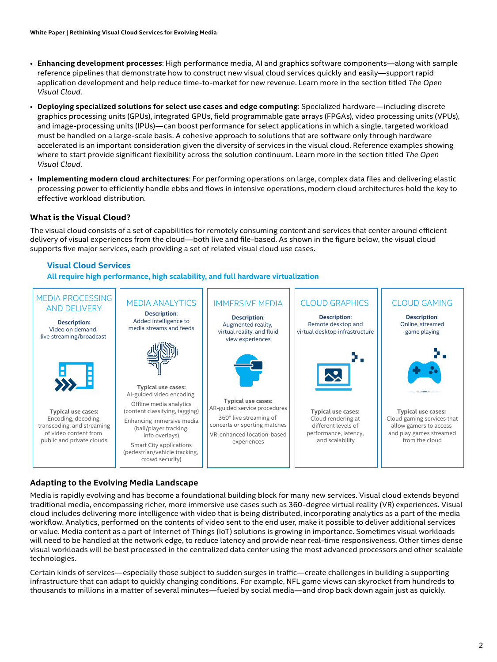- **Enhancing development processes**: High performance media, AI and graphics software components—along with sample reference pipelines that demonstrate how to construct new visual cloud services quickly and easily—support rapid application development and help reduce time-to-market for new revenue. Learn more in the section titled *The Open Visual Cloud*.
- **Deploying specialized solutions for select use cases and edge computing**: Specialized hardware—including discrete graphics processing units (GPUs), integrated GPUs, field programmable gate arrays (FPGAs), video processing units (VPUs), and image-processing units (IPUs)—can boost performance for select applications in which a single, targeted workload must be handled on a large-scale basis. A cohesive approach to solutions that are software only through hardware accelerated is an important consideration given the diversity of services in the visual cloud. Reference examples showing where to start provide significant flexibility across the solution continuum. Learn more in the section titled *The Open Visual Cloud*.
- **Implementing modern cloud architectures**: For performing operations on large, complex data files and delivering elastic processing power to efficiently handle ebbs and flows in intensive operations, modern cloud architectures hold the key to effective workload distribution.

# **What is the Visual Cloud?**

The visual cloud consists of a set of capabilities for remotely consuming content and services that center around efficient delivery of visual experiences from the cloud—both live and file-based. As shown in the figure below, the visual cloud supports five major services, each providing a set of related visual cloud use cases.

# **Visual Cloud Services**

**All require high performance, high scalability, and full hardware virtualization**



# **Adapting to the Evolving Media Landscape**

Media is rapidly evolving and has become a foundational building block for many new services. Visual cloud extends beyond traditional media, encompassing richer, more immersive use cases such as 360-degree virtual reality (VR) experiences. Visual cloud includes delivering more intelligence with video that is being distributed, incorporating analytics as a part of the media workflow. Analytics, performed on the contents of video sent to the end user, make it possible to deliver additional services or value. Media content as a part of Internet of Things (IoT) solutions is growing in importance. Sometimes visual workloads will need to be handled at the network edge, to reduce latency and provide near real-time responsiveness. Other times dense visual workloads will be best processed in the centralized data center using the most advanced processors and other scalable technologies.

Certain kinds of services—especially those subject to sudden surges in traffic—create challenges in building a supporting infrastructure that can adapt to quickly changing conditions. For example, NFL game views can skyrocket from hundreds to thousands to millions in a matter of several minutes—fueled by social media—and drop back down again just as quickly.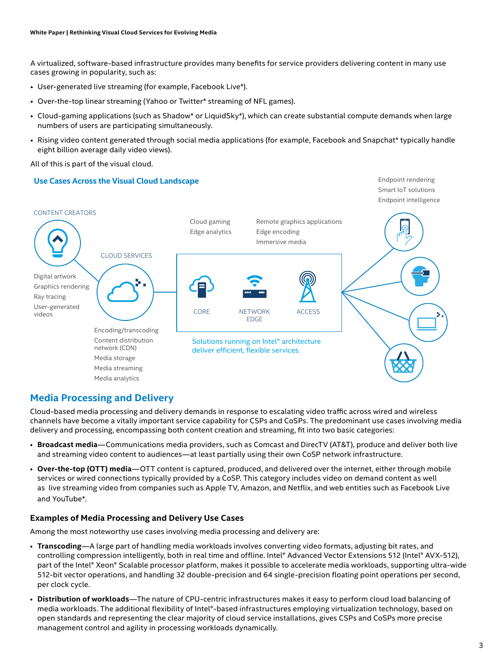A virtualized, software-based infrastructure provides many benefits for service providers delivering content in many use cases growing in popularity, such as:

- User-generated live streaming (for example, Facebook Live\*).
- Over-the-top linear streaming (Yahoo or Twitter\* streaming of NFL games).
- Cloud-gaming applications (such as Shadow\* or LiquidSky\*), which can create substantial compute demands when large numbers of users are participating simultaneously.
- Rising video content generated through social media applications (for example, Facebook and Snapchat\* typically handle eight billion average daily video views).

All of this is part of the visual cloud.

# **Use Cases Across the Visual Cloud Landscape**



# **Media Processing and Delivery**

Cloud-based media processing and delivery demands in response to escalating video traffic across wired and wireless channels have become a vitally important service capability for CSPs and CoSPs. The predominant use cases involving media delivery and processing, encompassing both content creation and streaming, fit into two basic categories:

- **Broadcast media**—Communications media providers, such as Comcast and DirecTV (AT&T), produce and deliver both live and streaming video content to audiences—at least partially using their own CoSP network infrastructure.
- **Over-the-top (OTT) media**—OTT content is captured, produced, and delivered over the internet, either through mobile services or wired connections typically provided by a CoSP. This category includes video on demand content as well as live streaming video from companies such as Apple TV, Amazon, and Netflix, and web entities such as Facebook Live and YouTube\*.

# **Examples of Media Processing and Delivery Use Cases**

Among the most noteworthy use cases involving media processing and delivery are:

- **Transcoding**—A large part of handling media workloads involves converting video formats, adjusting bit rates, and controlling compression intelligently, both in real time and offline. Intel® Advanced Vector Extensions 512 (Intel® AVX-512), part of the Intel® Xeon® Scalable processor platform, makes it possible to accelerate media workloads, supporting ultra-wide 512-bit vector operations, and handling 32 double-precision and 64 single-precision floating point operations per second, per clock cycle.
- **Distribution of workloads**—The nature of CPU-centric infrastructures makes it easy to perform cloud load balancing of media workloads. The additional flexibility of Intel®-based infrastructures employing virtualization technology, based on open standards and representing the clear majority of cloud service installations, gives CSPs and CoSPs more precise management control and agility in processing workloads dynamically.

Endpoint rendering Smart IoT solutions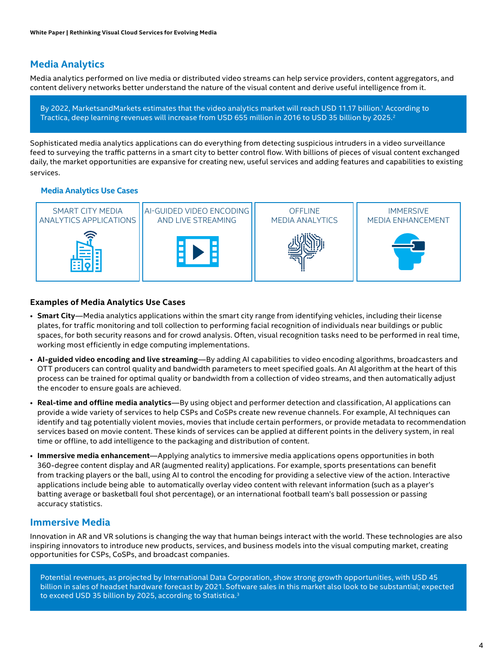# **Media Analytics**

Media analytics performed on live media or distributed video streams can help service providers, content aggregators, and content delivery networks better understand the nature of the visual content and derive useful intelligence from it.

By 2022, MarketsandMarkets estimates that the video analytics market will reach USD 11.17 billion.1 According to Tractica, deep learning revenues will increase from USD 655 million in 2016 to USD 35 billion by 2025.2

Sophisticated media analytics applications can do everything from detecting suspicious intruders in a video surveillance feed to surveying the traffic patterns in a smart city to better control flow. With billions of pieces of visual content exchanged daily, the market opportunities are expansive for creating new, useful services and adding features and capabilities to existing services.

# **Media Analytics Use Cases**



#### **Examples of Media Analytics Use Cases**

- **Smart City**—Media analytics applications within the smart city range from identifying vehicles, including their license plates, for traffic monitoring and toll collection to performing facial recognition of individuals near buildings or public spaces, for both security reasons and for crowd analysis. Often, visual recognition tasks need to be performed in real time, working most efficiently in edge computing implementations.
- **AI-guided video encoding and live streaming**—By adding AI capabilities to video encoding algorithms, broadcasters and OTT producers can control quality and bandwidth parameters to meet specified goals. An AI algorithm at the heart of this process can be trained for optimal quality or bandwidth from a collection of video streams, and then automatically adjust the encoder to ensure goals are achieved.
- **Real-time and offline media analytics**—By using object and performer detection and classification, AI applications can provide a wide variety of services to help CSPs and CoSPs create new revenue channels. For example, AI techniques can identify and tag potentially violent movies, movies that include certain performers, or provide metadata to recommendation services based on movie content. These kinds of services can be applied at different points in the delivery system, in real time or offline, to add intelligence to the packaging and distribution of content.
- **Immersive media enhancement**—Applying analytics to immersive media applications opens opportunities in both 360-degree content display and AR (augmented reality) applications. For example, sports presentations can benefit from tracking players or the ball, using AI to control the encoding for providing a selective view of the action. Interactive applications include being able to automatically overlay video content with relevant information (such as a player's batting average or basketball foul shot percentage), or an international football team's ball possession or passing accuracy statistics.

# **Immersive Media**

Innovation in AR and VR solutions is changing the way that human beings interact with the world. These technologies are also inspiring innovators to introduce new products, services, and business models into the visual computing market, creating opportunities for CSPs, CoSPs, and broadcast companies.

Potential revenues, as projected by International Data Corporation, show strong growth opportunities, with USD 45 billion in sales of headset hardware forecast by 2021. Software sales in this market also look to be substantial; expected to exceed USD 35 billion by 2025, according to Statistica.<sup>3</sup>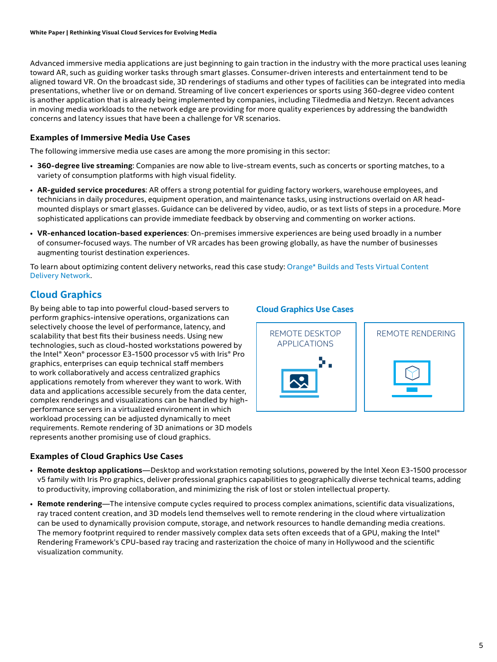Advanced immersive media applications are just beginning to gain traction in the industry with the more practical uses leaning toward AR, such as guiding worker tasks through smart glasses. Consumer-driven interests and entertainment tend to be aligned toward VR. On the broadcast side, 3D renderings of stadiums and other types of facilities can be integrated into media presentations, whether live or on demand. Streaming of live concert experiences or sports using 360-degree video content is another application that is already being implemented by companies, including Tiledmedia and Netzyn. Recent advances in moving media workloads to the network edge are providing for more quality experiences by addressing the bandwidth concerns and latency issues that have been a challenge for VR scenarios.

# **Examples of Immersive Media Use Cases**

The following immersive media use cases are among the more promising in this sector:

- **360-degree live streaming**: Companies are now able to live-stream events, such as concerts or sporting matches, to a variety of consumption platforms with high visual fidelity.
- **AR-guided service procedures**: AR offers a strong potential for guiding factory workers, warehouse employees, and technicians in daily procedures, equipment operation, and maintenance tasks, using instructions overlaid on AR headmounted displays or smart glasses. Guidance can be delivered by video, audio, or as text lists of steps in a procedure. More sophisticated applications can provide immediate feedback by observing and commenting on worker actions.
- **VR-enhanced location-based experiences**: On-premises immersive experiences are being used broadly in a number of consumer-focused ways. The number of VR arcades has been growing globally, as have the number of businesses augmenting tourist destination experiences.

To learn about optimizing content delivery networks, read this case study: [Orange\\* Builds and Tests Virtual Content](https://www.intel.com/content/www/us/en/communications/network-transformation-orange-case-study.html)  Delivery [Network](https://www.intel.com/content/www/us/en/communications/network-transformation-orange-case-study.html).

# **Cloud Graphics**

By being able to tap into powerful cloud-based servers to perform graphics-intensive operations, organizations can selectively choose the level of performance, latency, and scalability that best fits their business needs. Using new technologies, such as cloud-hosted workstations powered by the Intel® Xeon® processor E3-1500 processor v5 with Iris® Pro graphics, enterprises can equip technical staff members to work collaboratively and access centralized graphics applications remotely from wherever they want to work. With data and applications accessible securely from the data center, complex renderings and visualizations can be handled by highperformance servers in a virtualized environment in which workload processing can be adjusted dynamically to meet requirements. Remote rendering of 3D animations or 3D models represents another promising use of cloud graphics.

#### **Examples of Cloud Graphics Use Cases**

# **Cloud Graphics Use Cases**



- **Remote desktop applications**—Desktop and workstation remoting solutions, powered by the Intel Xeon E3-1500 processor v5 family with Iris Pro graphics, deliver professional graphics capabilities to geographically diverse technical teams, adding to productivity, improving collaboration, and minimizing the risk of lost or stolen intellectual property.
- **Remote rendering**—The intensive compute cycles required to process complex animations, scientific data visualizations, ray traced content creation, and 3D models lend themselves well to remote rendering in the cloud where virtualization can be used to dynamically provision compute, storage, and network resources to handle demanding media creations. The memory footprint required to render massively complex data sets often exceeds that of a GPU, making the Intel® Rendering Framework's CPU-based ray tracing and rasterization the choice of many in Hollywood and the scientific visualization community.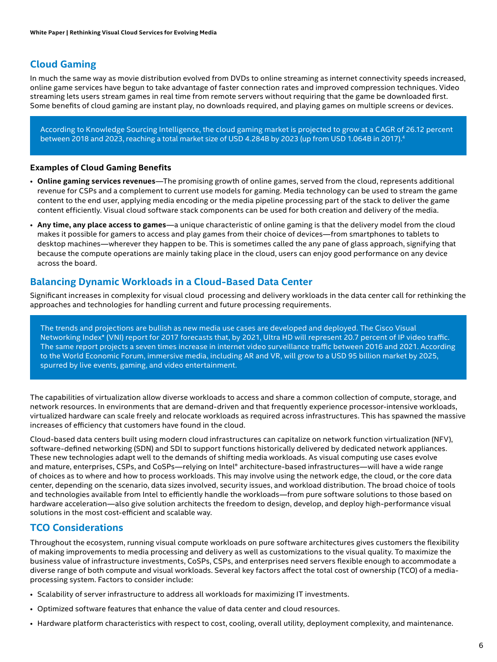# **Cloud Gaming**

In much the same way as movie distribution evolved from DVDs to online streaming as internet connectivity speeds increased, online game services have begun to take advantage of faster connection rates and improved compression techniques. Video streaming lets users stream games in real time from remote servers without requiring that the game be downloaded first. Some benefits of cloud gaming are instant play, no downloads required, and playing games on multiple screens or devices.

According to Knowledge Sourcing Intelligence, the cloud gaming market is projected to grow at a CAGR of 26.12 percent between 2018 and 2023, reaching a total market size of USD 4.284B by 2023 (up from USD 1.064B in 2017).<sup>4</sup>

#### **Examples of Cloud Gaming Benefits**

- **Online gaming services revenues**—The promising growth of online games, served from the cloud, represents additional revenue for CSPs and a complement to current use models for gaming. Media technology can be used to stream the game content to the end user, applying media encoding or the media pipeline processing part of the stack to deliver the game content efficiently. Visual cloud software stack components can be used for both creation and delivery of the media.
- **Any time, any place access to games**—a unique characteristic of online gaming is that the delivery model from the cloud makes it possible for gamers to access and play games from their choice of devices—from smartphones to tablets to desktop machines—wherever they happen to be. This is sometimes called the any pane of glass approach, signifying that because the compute operations are mainly taking place in the cloud, users can enjoy good performance on any device across the board.

# **Balancing Dynamic Workloads in a Cloud-Based Data Center**

Significant increases in complexity for visual cloud processing and delivery workloads in the data center call for rethinking the approaches and technologies for handling current and future processing requirements.

The trends and projections are bullish as new media use cases are developed and deployed. The Cisco Visual Networking Index\* (VNI) report for 2017 forecasts that, by 2021, Ultra HD will represent 20.7 percent of IP video traffic. The same report projects a seven times increase in internet video surveillance traffic between 2016 and 2021. According to the World Economic Forum, immersive media, including AR and VR, will grow to a USD 95 billion market by 2025, spurred by live events, gaming, and video entertainment.

The capabilities of virtualization allow diverse workloads to access and share a common collection of compute, storage, and network resources. In environments that are demand-driven and that frequently experience processor-intensive workloads, virtualized hardware can scale freely and relocate workloads as required across infrastructures. This has spawned the massive increases of efficiency that customers have found in the cloud.

Cloud-based data centers built using modern cloud infrastructures can capitalize on network function virtualization (NFV), software-defined networking (SDN) and SDI to support functions historically delivered by dedicated network appliances. These new technologies adapt well to the demands of shifting media workloads. As visual computing use cases evolve and mature, enterprises, CSPs, and CoSPs—relying on Intel® architecture-based infrastructures—will have a wide range of choices as to where and how to process workloads. This may involve using the network edge, the cloud, or the core data center, depending on the scenario, data sizes involved, security issues, and workload distribution. The broad choice of tools and technologies available from Intel to efficiently handle the workloads—from pure software solutions to those based on hardware acceleration—also give solution architects the freedom to design, develop, and deploy high-performance visual solutions in the most cost-efficient and scalable way.

# **TCO Considerations**

Throughout the ecosystem, running visual compute workloads on pure software architectures gives customers the flexibility of making improvements to media processing and delivery as well as customizations to the visual quality. To maximize the business value of infrastructure investments, CoSPs, CSPs, and enterprises need servers flexible enough to accommodate a diverse range of both compute and visual workloads. Several key factors affect the total cost of ownership (TCO) of a mediaprocessing system. Factors to consider include:

- Scalability of server infrastructure to address all workloads for maximizing IT investments.
- Optimized software features that enhance the value of data center and cloud resources.
- Hardware platform characteristics with respect to cost, cooling, overall utility, deployment complexity, and maintenance.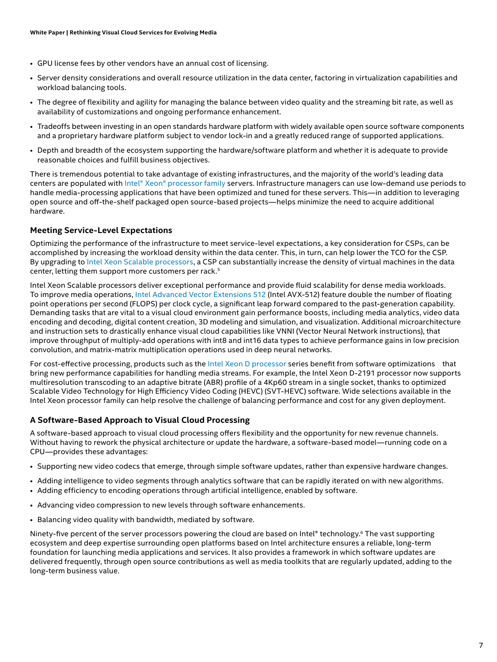- <span id="page-6-0"></span>• GPU license fees by other vendors have an annual cost of licensing.
- Server density considerations and overall resource utilization in the data center, factoring in virtualization capabilities and workload balancing tools.
- The degree of flexibility and agility for managing the balance between video quality and the streaming bit rate, as well as availability of customizations and ongoing performance enhancement.
- Tradeoffs between investing in an open standards hardware platform with widely available open source software components and a proprietary hardware platform subject to vendor lock-in and a greatly reduced range of supported applications.
- Depth and breadth of the ecosystem supporting the hardware/software platform and whether it is adequate to provide reasonable choices and fulfill business objectives.

There is tremendous potential to take advantage of existing infrastructures, and the majority of the world's leading data centers are populated with [Intel® Xeon® processor family](https://www.intel.com/content/www/us/en/products/processors/xeon.html) servers. Infrastructure managers can use low-demand use periods to handle media-processing applications that have been optimized and tuned for these servers. This—in addition to leveraging open source and off-the-shelf packaged open source-based projects—helps minimize the need to acquire additional hardware.

# **Meeting Service-Level Expectations**

Optimizing the performance of the infrastructure to meet service-level expectations, a key consideration for CSPs, can be accomplished by increasing the workload density within the data center. This, in turn, can help lower the TCO for the CSP. By upgrading to [Intel Xeon Scalable processors](https://www.intel.com/content/www/us/en/processors/xeon/scalable/xeon-scalable-platform.html), a CSP can substantially increase the density of virtual machines in the data center, letting them support more customers per rack.<sup>5</sup>

Intel Xeon Scalable processors deliver exceptional performance and provide fluid scalability for dense media workloads. To improve media operations, [Intel Advanced Vector Extensions 512](https://www.intel.com/content/www/us/en/architecture-and-technology/avx-512-overview.html) (Intel AVX-512) feature double the number of floating point operations per second (FLOPS) per clock cycle, a significant leap forward compared to the past-generation capability. Demanding tasks that are vital to a visual cloud environment gain performance boosts, including media analytics, video data encoding and decoding, digital content creation, 3D modeling and simulation, and visualization. Additional microarchitecture and instruction sets to drastically enhance visual cloud capabilities like VNNI (Vector Neural Network instructions), that improve throughput of multiply-add operations with int8 and int16 data types to achieve performance gains in low precision convolution, and matrix-matrix multiplication operations used in deep neural networks.

For cost-effective processing, products such as th[e Intel Xeon D processor](https://www.intel.com/content/www/us/en/products/processors/xeon/d-processors.html) series benefit from software optimizations that bring new performance capabilities for handling media streams. For example, the Intel Xeon D-2191 processor now supports multiresolution transcoding to an adaptive bitrate (ABR) profile of a 4Kp60 stream in a single socket, thanks to optimized Scalable Video Technology for High Efficiency Video Coding (HEVC) (SVT-HEVC) software. Wide selections available in the Intel Xeon processor family can help resolve the challenge of balancing performance and cost for any given deployment.

# **A Software-Based Approach to Visual Cloud Processing**

A software-based approach to visual cloud processing offers flexibility and the opportunity for new revenue channels. Without having to rework the physical architecture or update the hardware, a software-based model—running code on a CPU—provides these advantages:

- Supporting new video codecs that emerge, through simple software updates, rather than expensive hardware changes.
- Adding intelligence to video segments through analytics software that can be rapidly iterated on with new algorithms.
- Adding efficiency to encoding operations through artificial intelligence, enabled by software.
- Advancing video compression to new levels through software enhancements.
- Balancing video quality with bandwidth, mediated by software.

Ninety-five percent of the server processors powering the cloud are based on Intel® technology.<sup>6</sup> The vast supporting ecosystem and deep expertise surrounding open platforms based on Intel architecture ensures a reliable, long-term foundation for launching media applications and services. It also provides a framework in which software updates are delivered frequently, through open source contributions as well as media toolkits that are regularly updated, adding to the long-term business value.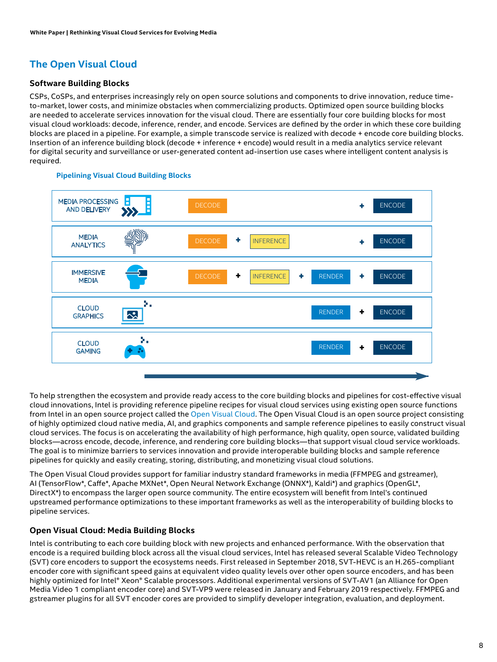# <span id="page-7-0"></span>**The Open Visual Cloud**

# **Software Building Blocks**

CSPs, CoSPs, and enterprises increasingly rely on open source solutions and components to drive innovation, reduce timeto-market, lower costs, and minimize obstacles when commercializing products. Optimized open source building blocks are needed to accelerate services innovation for the visual cloud. There are essentially four core building blocks for most visual cloud workloads: decode, inference, render, and encode. Services are defined by the order in which these core building blocks are placed in a pipeline. For example, a simple transcode service is realized with decode + encode core building blocks. Insertion of an inference building block (decode + inference + encode) would result in a media analytics service relevant for digital security and surveillance or user-generated content ad-insertion use cases where intelligent content analysis is **+** required.



#### **Pipelining Visual Cloud Building Blocks**

To help strengthen the ecosystem and provide ready access to the core building blocks and pipelines for cost-effective visual cloud innovations, Intel is providing reference pipeline recipes for visual cloud services using existing open source functions from Intel in an open source project called the [Open Visual Cloud](http://01.org). The Open Visual Cloud is an open source project consisting of highly optimized cloud native media, AI, and graphics components and sample reference pipelines to easily construct visual cloud services. The focus is on accelerating the availability of high performance, high quality, open source, validated building blocks—across encode, decode, inference, and rendering core building blocks—that support visual cloud service workloads. The goal is to minimize barriers to services innovation and provide interoperable building blocks and sample reference pipelines for quickly and easily creating, storing, distributing, and monetizing visual cloud solutions.

The Open Visual Cloud provides support for familiar industry standard frameworks in media (FFMPEG and gstreamer), AI (TensorFlow\*, Caffe\*, Apache MXNet\*, Open Neural Network Exchange (ONNX\*), Kaldi\*) and graphics (OpenGL\*, DirectX\*) to encompass the larger open source community. The entire ecosystem will benefit from Intel's continued upstreamed performance optimizations to these important frameworks as well as the interoperability of building blocks to pipeline services.

# **Open Visual Cloud: Media Building Blocks**

Intel is contributing to each core building block with new projects and enhanced performance. With the observation that encode is a required building block across all the visual cloud services, Intel has released several Scalable Video Technology (SVT) core encoders to support the ecosystems needs. First released in September 2018, SVT-HEVC is an H.265-compliant encoder core with significant speed gains at equivalent video quality levels over other open source encoders, and has been highly optimized for Intel® Xeon® Scalable processors. Additional experimental versions of SVT-AV1 (an Alliance for Open Media Video 1 compliant encoder core) and SVT-VP9 were released in January and February 2019 respectively. FFMPEG and gstreamer plugins for all SVT encoder cores are provided to simplify developer integration, evaluation, and deployment.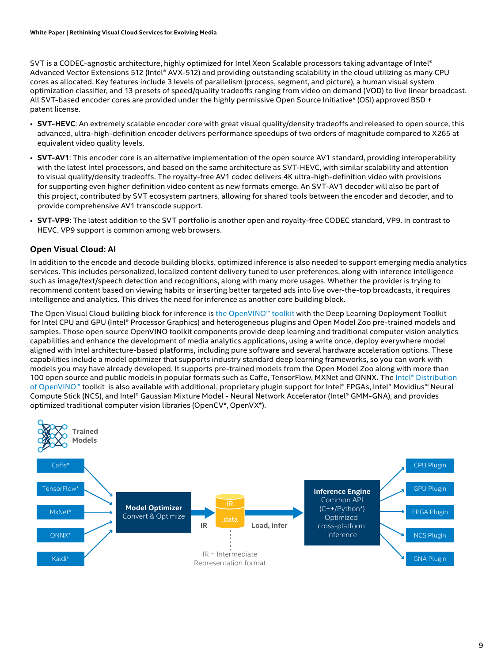<span id="page-8-0"></span>SVT is a CODEC-agnostic architecture, highly optimized for Intel Xeon Scalable processors taking advantage of Intel® Advanced Vector Extensions 512 (Intel® AVX-512) and providing outstanding scalability in the cloud utilizing as many CPU cores as allocated. Key features include 3 levels of parallelism (process, segment, and picture), a human visual system optimization classifier, and 13 presets of speed/quality tradeoffs ranging from video on demand (VOD) to live linear broadcast. All SVT-based encoder cores are provided under the highly permissive Open Source Initiative\* (OSI) approved BSD + patent license.

- **SVT-HEVC**: An extremely scalable encoder core with great visual quality/density tradeoffs and released to open source, this advanced, ultra-high-definition encoder delivers performance speedups of two orders of magnitude compared to X265 at equivalent video quality levels.
- **SVT-AV1**: This encoder core is an alternative implementation of the open source AV1 standard, providing interoperability with the latest Intel processors, and based on the same architecture as SVT-HEVC, with similar scalability and attention to visual quality/density tradeoffs. The royalty-free AV1 codec delivers 4K ultra-high-definition video with provisions for supporting even higher definition video content as new formats emerge. An SVT-AV1 decoder will also be part of this project, contributed by SVT ecosystem partners, allowing for shared tools between the encoder and decoder, and to provide comprehensive AV1 transcode support.
- **SVT-VP9**: The latest addition to the SVT portfolio is another open and royalty-free CODEC standard, VP9. In contrast to HEVC, VP9 support is common among web browsers.

# **Open Visual Cloud: AI**

In addition to the encode and decode building blocks, optimized inference is also needed to support emerging media analytics services. This includes personalized, localized content delivery tuned to user preferences, along with inference intelligence such as image/text/speech detection and recognitions, along with many more usages. Whether the provider is trying to recommend content based on viewing habits or inserting better targeted ads into live over-the-top broadcasts, it requires intelligence and analytics. This drives the need for inference as another core building block.

The Open Visual Cloud building block for inference is [the OpenVINO™ toolkit](https://01.org/openvinotoolkit) with the Deep Learning Deployment Toolkit for Intel CPU and GPU (Intel® Processor Graphics) and heterogeneous plugins and Open Model Zoo pre-trained models and samples. Those open source OpenVINO toolkit components provide deep learning and traditional computer vision analytics capabilities and enhance the development of media analytics applications, using a write once, deploy everywhere model aligned with Intel architecture-based platforms, including pure software and several hardware acceleration options. These capabilities include a model optimizer that supports industry standard deep learning frameworks, so you can work with models you may have already developed. It supports pre-trained models from the Open Model Zoo along with more than 100 open source and public models in popular formats such as Caffe, TensorFlow, MXNet and ONNX. The [Intel® Distribution](https://software.intel.com/openvino-toolkit)  [of OpenVINO™](https://software.intel.com/openvino-toolkit) toolkit is also available with additional, proprietary plugin support for Intel® FPGAs, Intel® Movidius™ Neural Compute Stick (NCS), and Intel® Gaussian Mixture Model - Neural Network Accelerator (Intel® GMM-GNA), and provides optimized traditional computer vision libraries (OpenCV\*, OpenVX\*).

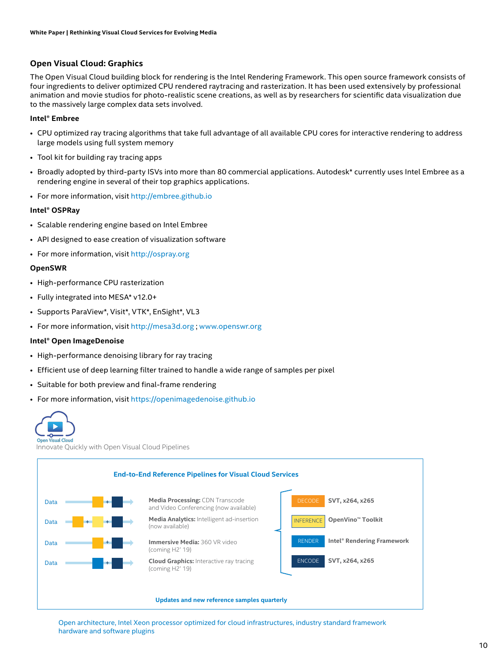## <span id="page-9-0"></span>**Open Visual Cloud: Graphics**

The Open Visual Cloud building block for rendering is the Intel Rendering Framework. This open source framework consists of four ingredients to deliver optimized CPU rendered raytracing and rasterization. It has been used extensively by professional animation and movie studios for photo-realistic scene creations, as well as by researchers for scientific data visualization due to the massively large complex data sets involved.

#### **Intel® Embree**

- CPU optimized ray tracing algorithms that take full advantage of all available CPU cores for interactive rendering to address large models using full system memory
- Tool kit for building ray tracing apps
- Broadly adopted by third-party ISVs into more than 80 commercial applications. Autodesk\* currently uses Intel Embree as a rendering engine in several of their top graphics applications.
- For more information, visit [http://embree.github.io]( http://embree.github.io)

#### **Intel® OSPRay**

- Scalable rendering engine based on Intel Embree
- API designed to ease creation of visualization software
- For more information, visit <http://ospray.org>

#### **OpenSWR**

- High-performance CPU rasterization
- Fully integrated into MESA\* v12.0+
- Supports ParaView\*, Visit\*, VTK\*, EnSight\*, VL3
- For more information, visit <http://mesa3d.org>; [www.openswr.org](http://www.openswr.org)

#### **Intel® Open ImageDenoise**

- High-performance denoising library for ray tracing
- Efficient use of deep learning filter trained to handle a wide range of samples per pixel
- Suitable for both preview and final-frame rendering
- For more information, visit <https://openimagedenoise.github.io>

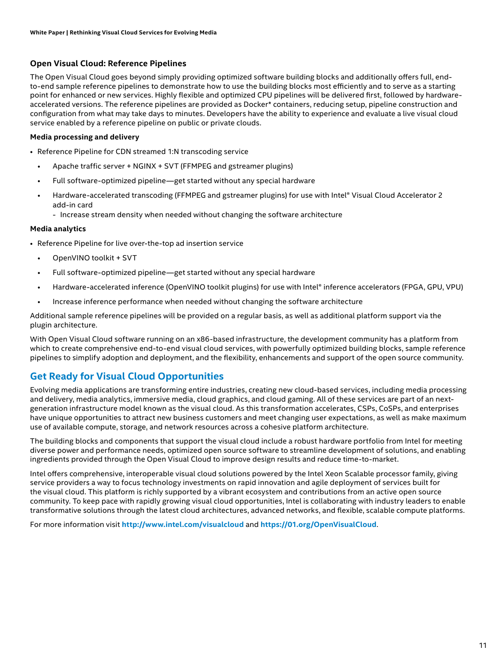# <span id="page-10-0"></span>**Open Visual Cloud: Reference Pipelines**

The Open Visual Cloud goes beyond simply providing optimized software building blocks and additionally offers full, endto-end sample reference pipelines to demonstrate how to use the building blocks most efficiently and to serve as a starting point for enhanced or new services. Highly flexible and optimized CPU pipelines will be delivered first, followed by hardwareaccelerated versions. The reference pipelines are provided as Docker\* containers, reducing setup, pipeline construction and configuration from what may take days to minutes. Developers have the ability to experience and evaluate a live visual cloud service enabled by a reference pipeline on public or private clouds.

## **Media processing and delivery**

- Reference Pipeline for CDN streamed 1:N transcoding service
	- Apache traffic server + NGINX + SVT (FFMPEG and gstreamer plugins)
	- Full software-optimized pipeline—get started without any special hardware
	- Hardware-accelerated transcoding (FFMPEG and gstreamer plugins) for use with Intel® Visual Cloud Accelerator 2 add-in card
		- Increase stream density when needed without changing the software architecture

#### **Media analytics**

- Reference Pipeline for live over-the-top ad insertion service
	- OpenVINO toolkit + SVT
	- Full software-optimized pipeline—get started without any special hardware
	- Hardware-accelerated inference (OpenVINO toolkit plugins) for use with Intel® inference accelerators (FPGA, GPU, VPU)
	- Increase inference performance when needed without changing the software architecture

Additional sample reference pipelines will be provided on a regular basis, as well as additional platform support via the plugin architecture.

With Open Visual Cloud software running on an x86-based infrastructure, the development community has a platform from which to create comprehensive end-to-end visual cloud services, with powerfully optimized building blocks, sample reference pipelines to simplify adoption and deployment, and the flexibility, enhancements and support of the open source community.

# **Get Ready for Visual Cloud Opportunities**

Evolving media applications are transforming entire industries, creating new cloud-based services, including media processing and delivery, media analytics, immersive media, cloud graphics, and cloud gaming. All of these services are part of an nextgeneration infrastructure model known as the visual cloud. As this transformation accelerates, CSPs, CoSPs, and enterprises have unique opportunities to attract new business customers and meet changing user expectations, as well as make maximum use of available compute, storage, and network resources across a cohesive platform architecture.

The building blocks and components that support the visual cloud include a robust hardware portfolio from Intel for meeting diverse power and performance needs, optimized open source software to streamline development of solutions, and enabling ingredients provided through the Open Visual Cloud to improve design results and reduce time-to-market.

Intel offers comprehensive, interoperable visual cloud solutions powered by the Intel Xeon Scalable processor family, giving service providers a way to focus technology investments on rapid innovation and agile deployment of services built for the visual cloud. This platform is richly supported by a vibrant ecosystem and contributions from an active open source community. To keep pace with rapidly growing visual cloud opportunities, Intel is collaborating with industry leaders to enable transformative solutions through the latest cloud architectures, advanced networks, and flexible, scalable compute platforms.

For more information visit **<http://www.intel.com/visualcloud>** and **<https://01.org/OpenVisualCloud>**.